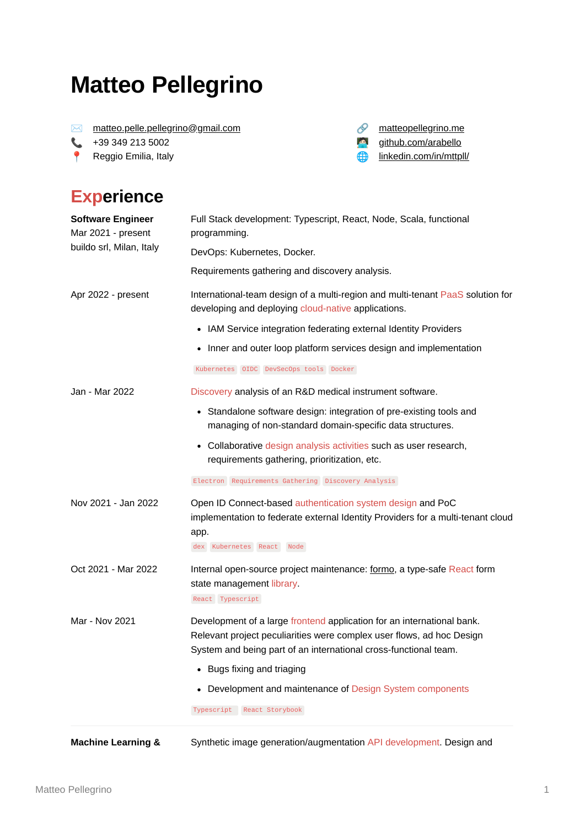# **Matteo Pellegrino**

✉ [matteo.pelle.pellegrino@gmail.com](mailto:matteo.pelle.pellegrino@gmail.com)

 +39 349 213 5002 **Reggio Emilia, Italy**  *S* [matteopellegrino.me](https://www.matteopellegrino.me/) [github.com/arabello](https://www.github.com/arabello) **finkedin.com/in/mttpll/** 

#### **Experience**

| <b>Software Engineer</b><br>Mar 2021 - present<br>buildo srl, Milan, Italy | Full Stack development: Typescript, React, Node, Scala, functional<br>programming.<br>DevOps: Kubernetes, Docker.                                                                                                                                 |
|----------------------------------------------------------------------------|---------------------------------------------------------------------------------------------------------------------------------------------------------------------------------------------------------------------------------------------------|
|                                                                            | Requirements gathering and discovery analysis.                                                                                                                                                                                                    |
| Apr 2022 - present                                                         | International-team design of a multi-region and multi-tenant PaaS solution for<br>developing and deploying cloud-native applications.                                                                                                             |
|                                                                            | • IAM Service integration federating external Identity Providers                                                                                                                                                                                  |
|                                                                            | • Inner and outer loop platform services design and implementation                                                                                                                                                                                |
|                                                                            | Kubernetes OIDC DevSecOps tools Docker                                                                                                                                                                                                            |
| Jan - Mar 2022                                                             | Discovery analysis of an R&D medical instrument software.                                                                                                                                                                                         |
|                                                                            | • Standalone software design: integration of pre-existing tools and<br>managing of non-standard domain-specific data structures.                                                                                                                  |
|                                                                            | • Collaborative design analysis activities such as user research,<br>requirements gathering, prioritization, etc.                                                                                                                                 |
|                                                                            | Electron Requirements Gathering Discovery Analysis                                                                                                                                                                                                |
| Nov 2021 - Jan 2022                                                        | Open ID Connect-based authentication system design and PoC<br>implementation to federate external Identity Providers for a multi-tenant cloud<br>app.<br>dex Kubernetes React Node                                                                |
| Oct 2021 - Mar 2022                                                        | Internal open-source project maintenance: formo, a type-safe React form<br>state management library.<br>React Typescript                                                                                                                          |
| Mar - Nov 2021                                                             | Development of a large frontend application for an international bank.<br>Relevant project peculiarities were complex user flows, ad hoc Design<br>System and being part of an international cross-functional team.<br>• Bugs fixing and triaging |
|                                                                            | • Development and maintenance of Design System components<br>Typescript React Storybook                                                                                                                                                           |
| <b>Machine Learning &amp;</b>                                              | Synthetic image generation/augmentation API development. Design and                                                                                                                                                                               |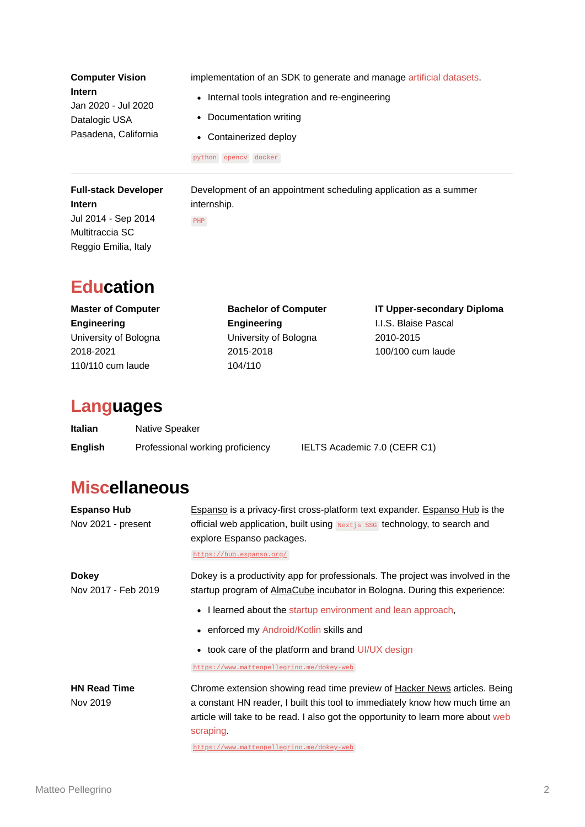| <b>Computer Vision</b>      | implementation of an SDK to generate and manage artificial datasets. |
|-----------------------------|----------------------------------------------------------------------|
| Intern                      | • Internal tools integration and re-engineering                      |
| Jan 2020 - Jul 2020         | • Documentation writing                                              |
| Datalogic USA               | • Containerized deploy                                               |
| Pasadena, California        | python opency docker                                                 |
| <b>Full-stack Developer</b> | Development of an appointment scheduling application as a summer     |

**Intern** Jul 2014 - Sep 2014 Multitraccia SC Reggio Emilia, Italy

internship. PHP

### **Education**

**Master of Computer Engineering** University of Bologna 2018-2021 110/110 cum laude

**Bachelor of Computer Engineering** University of Bologna 2015-2018 104/110

**IT Upper-secondary Diploma** I.I.S. Blaise Pascal 2010-2015 100/100 cum laude

#### **Languages**

| Italian        | Native Speaker                   |                              |
|----------------|----------------------------------|------------------------------|
| <b>English</b> | Professional working proficiency | IELTS Academic 7.0 (CEFR C1) |

## **Miscellaneous**

| <b>Espanso Hub</b><br>Nov 2021 - present | <b>Espanso</b> is a privacy-first cross-platform text expander. <b>Espanso Hub</b> is the<br>official web application, built using <b>Nextis</b> sse technology, to search and<br>explore Espanso packages.<br>https://hub.espanso.org/                                                                 |
|------------------------------------------|---------------------------------------------------------------------------------------------------------------------------------------------------------------------------------------------------------------------------------------------------------------------------------------------------------|
| <b>Dokey</b><br>Nov 2017 - Feb 2019      | Dokey is a productivity app for professionals. The project was involved in the<br>startup program of AlmaCube incubator in Bologna. During this experience:<br>• I learned about the startup environment and lean approach,                                                                             |
|                                          | • enforced my Android/Kotlin skills and<br>• took care of the platform and brand UI/UX design<br>https://www.matteopellegrino.me/dokey-web                                                                                                                                                              |
| <b>HN Read Time</b><br>Nov 2019          | Chrome extension showing read time preview of Hacker News articles. Being<br>a constant HN reader, I built this tool to immediately know how much time an<br>article will take to be read. I also got the opportunity to learn more about web<br>scraping.<br>https://www.matteopellegrino.me/dokey-web |